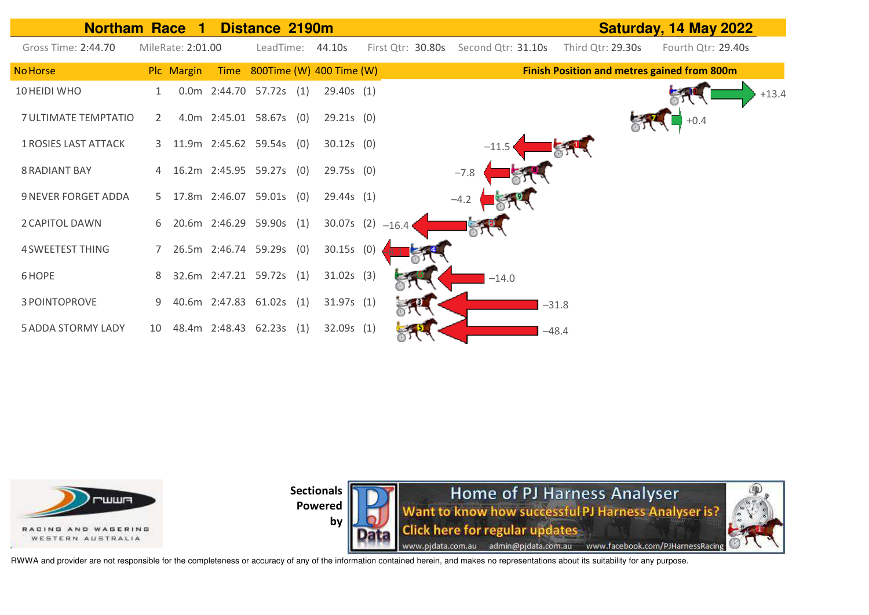



Home of PJ Harness Analyser Want to know how successful PJ Harness Analyser is? **Click here for regular updates** www.pjdata.com.au admin@pjdata.com.au www.facebook.com/PJHarnessRacing



RWWA and provider are not responsible for the completeness or accuracy of any of the information contained herein, and makes no representations about its suitability for any purpose.

**by**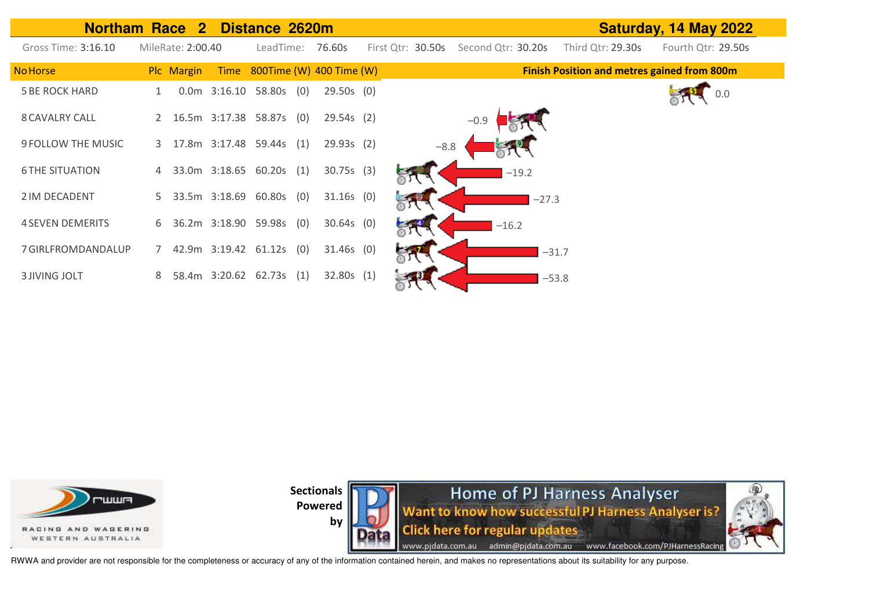| <b>Northam Race</b>       |             | $\overline{2}$    |                | Distance 2620m           |     |                               |                   |                    |         |                                                    | Saturday, 14 May 2022 |
|---------------------------|-------------|-------------------|----------------|--------------------------|-----|-------------------------------|-------------------|--------------------|---------|----------------------------------------------------|-----------------------|
| Gross Time: 3:16.10       |             | MileRate: 2:00.40 |                | LeadTime:                |     | 76.60s                        | First Qtr: 30.50s | Second Qtr: 30.20s |         | Third Qtr: 29.30s                                  | Fourth Qtr: 29.50s    |
| <b>No Horse</b>           |             | Plc Margin        |                |                          |     | Time 800Time (W) 400 Time (W) |                   |                    |         | <b>Finish Position and metres gained from 800m</b> |                       |
| <b>5 BE ROCK HARD</b>     |             |                   | $0.0m$ 3:16.10 | 58.80s                   | (0) | $29.50s$ (0)                  |                   |                    |         |                                                    | 0.0                   |
| <b>8 CAVALRY CALL</b>     | 2           |                   |                | 16.5m 3:17.38 58.87s (0) |     | $29.54s$ (2)                  |                   | $-0.9$             |         |                                                    |                       |
| <b>9 FOLLOW THE MUSIC</b> | 3           |                   |                | 17.8m 3:17.48 59.44s (1) |     | 29.93s(2)                     | $-8.8$            |                    |         |                                                    |                       |
| <b>6 THE SITUATION</b>    | 4           |                   |                | 33.0m 3:18.65 60.20s     | (1) | 30.75s(3)                     |                   |                    | $-19.2$ |                                                    |                       |
| 2 IM DECADENT             | 5           |                   | 33.5m 3:18.69  | 60.80s                   | (0) | $31.16s$ (0)                  |                   |                    | $-27.3$ |                                                    |                       |
| <b>4 SEVEN DEMERITS</b>   | 6           |                   |                | 36.2m 3:18.90 59.98s (0) |     | $30.64s$ (0)                  |                   | $-16.2$            |         |                                                    |                       |
| 7 GIRLFROMDANDALUP        | $7^{\circ}$ |                   |                | 42.9m 3:19.42 61.12s     | (0) | $31.46s$ (0)                  |                   |                    |         | $-31.7$                                            |                       |
| <b>3 JIVING JOLT</b>      | 8           |                   |                | 58.4m 3:20.62 62.73s     | (1) | 32.80s(1)                     |                   |                    |         | $-53.8$                                            |                       |



**by** 



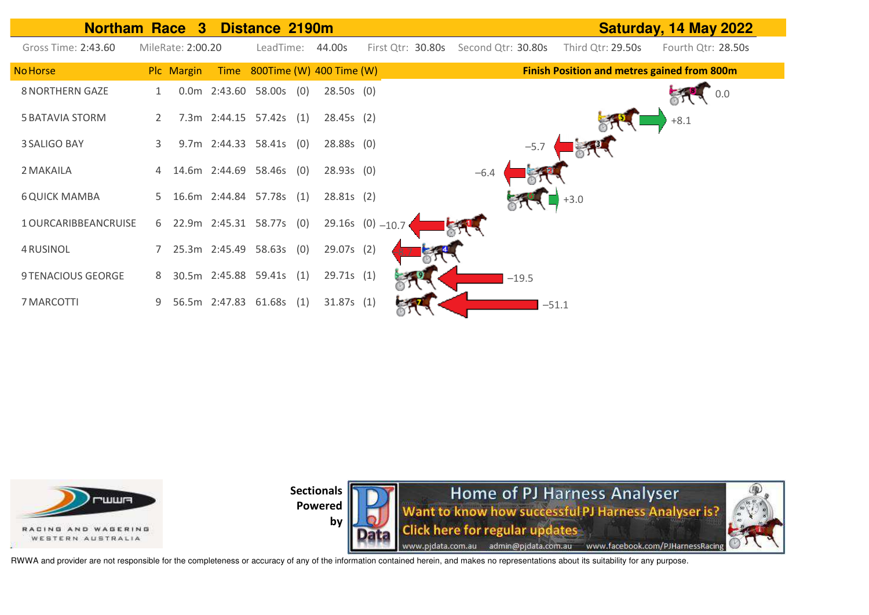







RWWA and provider are not responsible for the completeness or accuracy of any of the information contained herein, and makes no representations about its suitability for any purpose.

**by**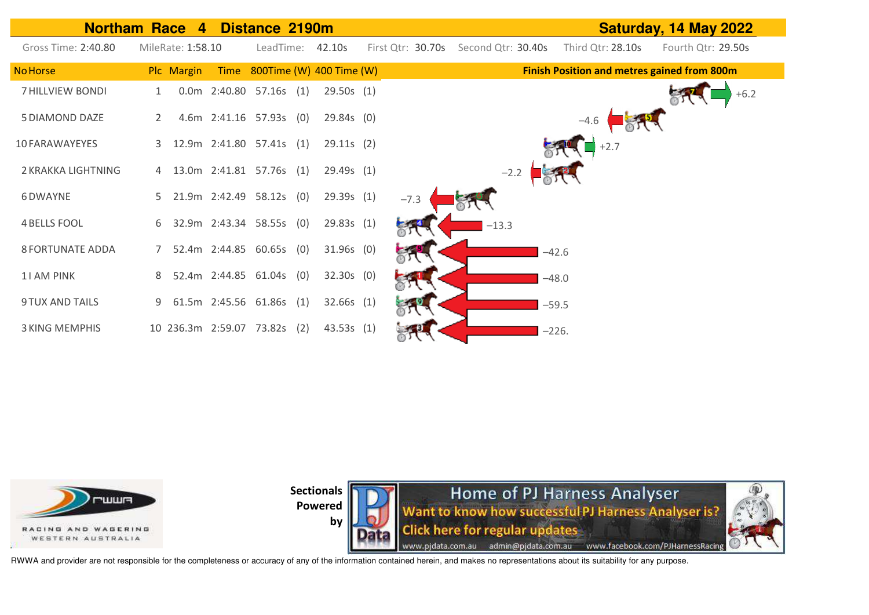



**Home of PJ Harness Analyser** Want to know how successful PJ Harness Analyser is? **Click here for regular updates** www.pjdata.com.au admin@pjdata.com.au www.facebook.com/PJHarnessRacing



RWWA and provider are not responsible for the completeness or accuracy of any of the information contained herein, and makes no representations about its suitability for any purpose.

**by**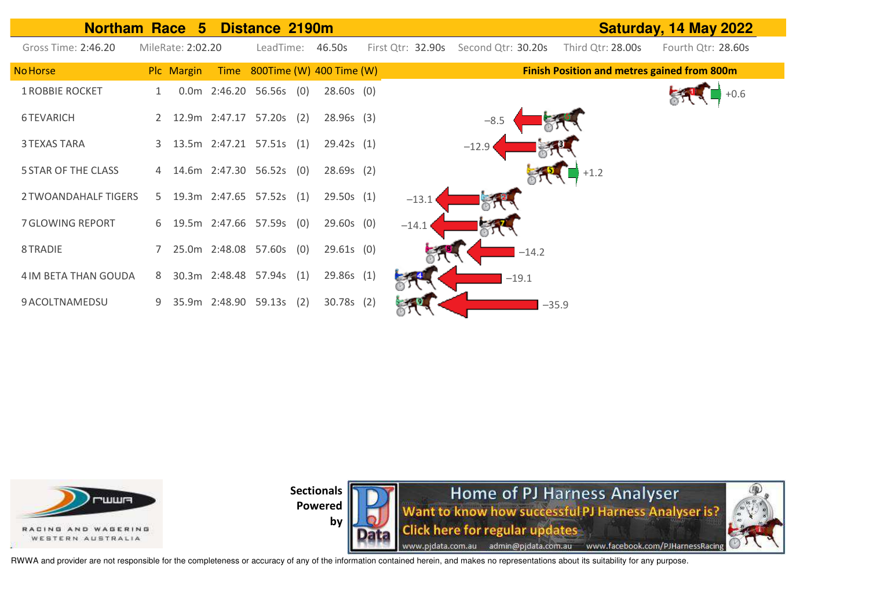| Northam Race 5 Distance 2190m |    |                   |                            |     |                               | Saturday, 14 May 2022 |                    |         |                                                    |                    |  |  |
|-------------------------------|----|-------------------|----------------------------|-----|-------------------------------|-----------------------|--------------------|---------|----------------------------------------------------|--------------------|--|--|
| Gross Time: 2:46.20           |    | MileRate: 2:02.20 | LeadTime:                  |     | 46.50s                        | First Qtr: 32.90s     | Second Qtr: 30.20s |         | Third Qtr: 28.00s                                  | Fourth Qtr: 28.60s |  |  |
| <b>No Horse</b>               |    | Plc Margin        |                            |     | Time 800Time (W) 400 Time (W) |                       |                    |         | <b>Finish Position and metres gained from 800m</b> |                    |  |  |
| <b>1 ROBBIE ROCKET</b>        |    |                   | 0.0m 2:46.20 56.56s (0)    |     | $28.60s$ (0)                  |                       |                    |         |                                                    |                    |  |  |
| 6 TEVARICH                    |    |                   | 12.9m 2:47.17 57.20s (2)   |     | 28.96s(3)                     |                       | $-8.5$             |         |                                                    |                    |  |  |
| <b>3 TEXAS TARA</b>           |    |                   | 3 13.5m 2:47.21 57.51s (1) |     | 29.42s(1)                     |                       | $-12.9$            |         |                                                    |                    |  |  |
| <b>5 STAR OF THE CLASS</b>    |    |                   | 4 14.6m 2:47.30 56.52s (0) |     | 28.69s(2)                     |                       |                    |         | $+1.2$                                             |                    |  |  |
| 2 TWOANDAHALF TIGERS          | 5. |                   | 19.3m 2:47.65 57.52s (1)   |     | 29.50s(1)                     | $-13.1$               |                    |         |                                                    |                    |  |  |
| 7 GLOWING REPORT              |    |                   | 6 19.5m 2:47.66 57.59s (0) |     | $29.60s$ (0)                  | $-14.1$               |                    |         |                                                    |                    |  |  |
| 8 TRADIE                      |    |                   | 25.0m 2:48.08 57.60s (0)   |     | $29.61s$ (0)                  |                       |                    | $-14.2$ |                                                    |                    |  |  |
| 4 IM BETA THAN GOUDA          | 8  |                   | 30.3m 2:48.48 57.94s (1)   |     | 29.86s (1)                    |                       |                    | $-19.1$ |                                                    |                    |  |  |
| 9 ACOLTNAMEDSU                | 9  |                   | 35.9m 2:48.90 59.13s       | (2) | $30.78s$ (2)                  |                       |                    | $-35.9$ |                                                    |                    |  |  |





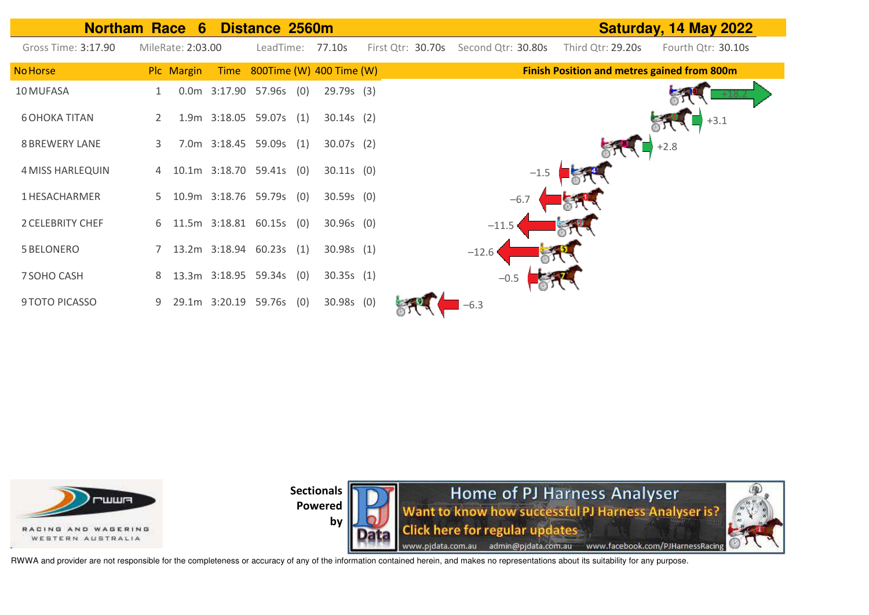



**Sectionals** 

**Powered by** 

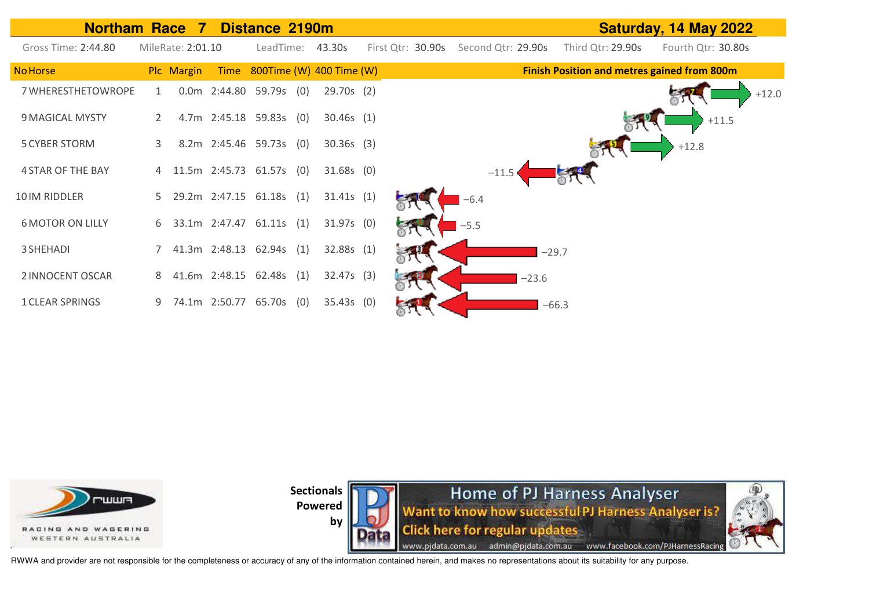| <b>Northam Race</b>      |   | $\blacksquare$    |               | Distance 2190m           |                               |                   |        |                    |         |                   | Saturday, 14 May 2022                              |
|--------------------------|---|-------------------|---------------|--------------------------|-------------------------------|-------------------|--------|--------------------|---------|-------------------|----------------------------------------------------|
| Gross Time: 2:44.80      |   | MileRate: 2:01.10 |               |                          | LeadTime: 43.30s              | First Qtr: 30.90s |        | Second Qtr: 29.90s |         | Third Qtr: 29.90s | Fourth Qtr: 30.80s                                 |
| <b>No Horse</b>          |   | Plc Margin        |               |                          | Time 800Time (W) 400 Time (W) |                   |        |                    |         |                   | <b>Finish Position and metres gained from 800m</b> |
| 7 WHERESTHETOWROPE       | 1 |                   |               | 0.0m 2:44.80 59.79s (0)  | 29.70s (2)                    |                   |        |                    |         |                   | $+12.0$                                            |
| 9 MAGICAL MYSTY          |   |                   |               | 4.7m 2:45.18 59.83s (0)  | $30.46s$ (1)                  |                   |        |                    |         |                   | $+11.5$                                            |
| <b>5 CYBER STORM</b>     | 3 |                   |               | 8.2m 2:45.46 59.73s (0)  | $30.36s$ (3)                  |                   |        |                    |         |                   | $+12.8$                                            |
| <b>4 STAR OF THE BAY</b> | 4 |                   |               | 11.5m 2:45.73 61.57s (0) | $31.68s$ (0)                  |                   |        | $-11.5$            |         |                   |                                                    |
| 10 IM RIDDLER            | 5 |                   |               | 29.2m 2:47.15 61.18s (1) | 31.41s(1)                     |                   | $-6.4$ |                    |         |                   |                                                    |
| <b>6 MOTOR ON LILLY</b>  | 6 |                   |               | 33.1m 2:47.47 61.11s (1) | $31.97s$ (0)                  |                   | $-5.5$ |                    |         |                   |                                                    |
| 3 SHEHADI                |   |                   |               | 41.3m 2:48.13 62.94s (1) | 32.88s(1)                     |                   |        |                    | $-29.7$ |                   |                                                    |
| 2 INNOCENT OSCAR         | 8 |                   |               | 41.6m 2:48.15 62.48s (1) | $32.47s$ (3)                  |                   |        |                    | $-23.6$ |                   |                                                    |
| <b>1 CLEAR SPRINGS</b>   |   |                   | 74.1m 2:50.77 | 65.70s (0)               | $35.43s$ (0)                  |                   |        |                    | $-66.3$ |                   |                                                    |



**Sectionals**